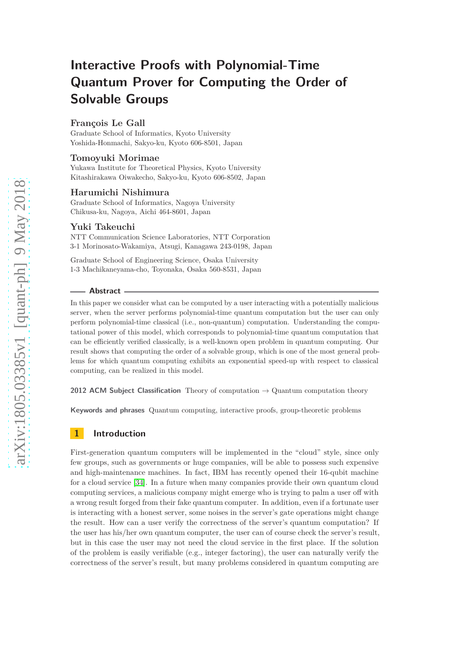# **Interactive Proofs with Polynomial-Time Quantum Prover for Computing the Order of Solvable Groups**

# **François Le Gall**

Graduate School of Informatics, Kyoto University Yoshida-Honmachi, Sakyo-ku, Kyoto 606-8501, Japan

# **Tomoyuki Morimae**

Yukawa Institute for Theoretical Physics, Kyoto University Kitashirakawa Oiwakecho, Sakyo-ku, Kyoto 606-8502, Japan

# **Harumichi Nishimura**

Graduate School of Informatics, Nagoya University Chikusa-ku, Nagoya, Aichi 464-8601, Japan

## **Yuki Takeuchi**

NTT Communication Science Laboratories, NTT Corporation 3-1 Morinosato-Wakamiya, Atsugi, Kanagawa 243-0198, Japan

Graduate School of Engineering Science, Osaka University 1-3 Machikaneyama-cho, Toyonaka, Osaka 560-8531, Japan

#### **Abstract**

In this paper we consider what can be computed by a user interacting with a potentially malicious server, when the server performs polynomial-time quantum computation but the user can only perform polynomial-time classical (i.e., non-quantum) computation. Understanding the computational power of this model, which corresponds to polynomial-time quantum computation that can be efficiently verified classically, is a well-known open problem in quantum computing. Our result shows that computing the order of a solvable group, which is one of the most general problems for which quantum computing exhibits an exponential speed-up with respect to classical computing, can be realized in this model.

**2012 ACM Subject Classification** Theory of computation → Quantum computation theory

**Keywords and phrases** Quantum computing, interactive proofs, group-theoretic problems

# **1 Introduction**

First-generation quantum computers will be implemented in the "cloud" style, since only few groups, such as governments or huge companies, will be able to possess such expensive and high-maintenance machines. In fact, IBM has recently opened their 16-qubit machine for a cloud service [\[34\]](#page-12-0). In a future when many companies provide their own quantum cloud computing services, a malicious company might emerge who is trying to palm a user off with a wrong result forged from their fake quantum computer. In addition, even if a fortunate user is interacting with a honest server, some noises in the server's gate operations might change the result. How can a user verify the correctness of the server's quantum computation? If the user has his/her own quantum computer, the user can of course check the server's result, but in this case the user may not need the cloud service in the first place. If the solution of the problem is easily verifiable (e.g., integer factoring), the user can naturally verify the correctness of the server's result, but many problems considered in quantum computing are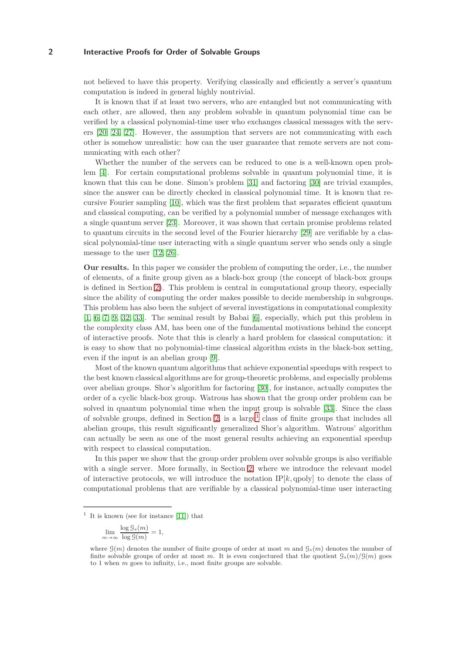not believed to have this property. Verifying classically and efficiently a server's quantum computation is indeed in general highly nontrivial.

It is known that if at least two servers, who are entangled but not communicating with each other, are allowed, then any problem solvable in quantum polynomial time can be verified by a classical polynomial-time user who exchanges classical messages with the servers [\[20,](#page-11-0) [24,](#page-11-1) [27\]](#page-11-2). However, the assumption that servers are not communicating with each other is somehow unrealistic: how can the user guarantee that remote servers are not communicating with each other?

Whether the number of the servers can be reduced to one is a well-known open problem [\[4\]](#page-10-0). For certain computational problems solvable in quantum polynomial time, it is known that this can be done. Simon's problem [\[31\]](#page-12-1) and factoring [\[30\]](#page-12-2) are trivial examples, since the answer can be directly checked in classical polynomial time. It is known that recursive Fourier sampling [\[10\]](#page-11-3), which was the first problem that separates efficient quantum and classical computing, can be verified by a polynomial number of message exchanges with a single quantum server [\[23\]](#page-11-4). Moreover, it was shown that certain promise problems related to quantum circuits in the second level of the Fourier hierarchy [\[29\]](#page-11-5) are verifiable by a classical polynomial-time user interacting with a single quantum server who sends only a single message to the user [\[12,](#page-11-6) [26\]](#page-11-7).

**Our results.** In this paper we consider the problem of computing the order, i.e., the number of elements, of a finite group given as a black-box group (the concept of black-box groups is defined in Section [2\)](#page-2-0). This problem is central in computational group theory, especially since the ability of computing the order makes possible to decide membership in subgroups. This problem has also been the subject of several investigations in computational complexity [\[1,](#page-10-1) [6,](#page-10-2) [7,](#page-10-3) [9,](#page-10-4) [32,](#page-12-3) [33\]](#page-12-4). The seminal result by Babai [\[6\]](#page-10-2), especially, which put this problem in the complexity class AM, has been one of the fundamental motivations behind the concept of interactive proofs. Note that this is clearly a hard problem for classical computation: it is easy to show that no polynomial-time classical algorithm exists in the black-box setting, even if the input is an abelian group [\[9\]](#page-10-4).

Most of the known quantum algorithms that achieve exponential speedups with respect to the best known classical algorithms are for group-theoretic problems, and especially problems over abelian groups. Shor's algorithm for factoring [\[30\]](#page-12-2), for instance, actually computes the order of a cyclic black-box group. Watrous has shown that the group order problem can be solved in quantum polynomial time when the input group is solvable [\[33\]](#page-12-4). Since the class of solvable groups, defined in Section [2,](#page-2-0) is a large<sup>[1](#page-1-0)</sup> class of finite groups that includes all abelian groups, this result significantly generalized Shor's algorithm. Watrous' algorithm can actually be seen as one of the most general results achieving an exponential speedup with respect to classical computation.

In this paper we show that the group order problem over solvable groups is also verifiable with a single server. More formally, in Section [2,](#page-2-0) where we introduce the relevant model of interactive protocols, we will introduce the notation  $IP[k, qpoly]$  to denote the class of computational problems that are verifiable by a classical polynomial-time user interacting

$$
\lim_{m \to \infty} \frac{\log \mathcal{G}_s(m)}{\log \mathcal{G}(m)} = 1,
$$

<span id="page-1-0"></span><sup>&</sup>lt;sup>1</sup> It is known (see for instance [\[11\]](#page-11-8)) that

where  $\mathcal{G}(m)$  denotes the number of finite groups of order at most *m* and  $\mathcal{G}_s(m)$  denotes the number of finite solvable groups of order at most *m*. It is even conjectured that the quotient  $\mathcal{G}_s(m)/\mathcal{G}(m)$  goes to 1 when *m* goes to infinity, i.e., most finite groups are solvable.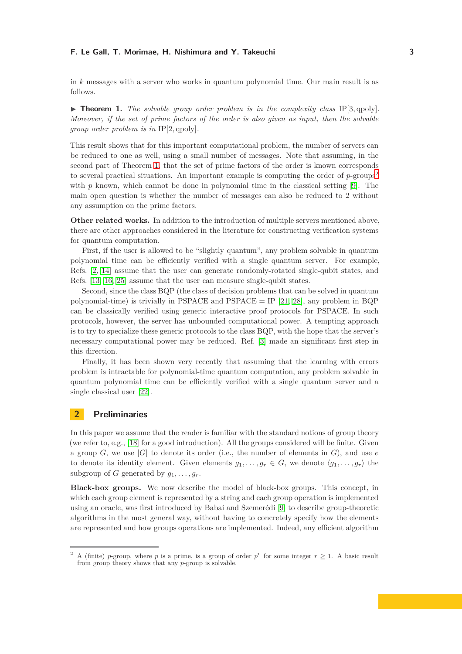in *k* messages with a server who works in quantum polynomial time. Our main result is as follows.

<span id="page-2-1"></span> $\triangleright$  **Theorem 1.** The solvable group order problem is in the complexity class IP[3, qpoly]. *Moreover, if the set of prime factors of the order is also given as input, then the solvable group order problem is in* IP[2*,* qpoly]*.*

This result shows that for this important computational problem, the number of servers can be reduced to one as well, using a small number of messages. Note that assuming, in the second part of Theorem [1,](#page-2-1) that the set of prime factors of the order is known corresponds to several practical situations. An important example is computing the order of  $p$ -groups<sup>[2](#page-2-2)</sup> with *p* known, which cannot be done in polynomial time in the classical setting [\[9\]](#page-10-4). The main open question is whether the number of messages can also be reduced to 2 without any assumption on the prime factors.

**Other related works.** In addition to the introduction of multiple servers mentioned above, there are other approaches considered in the literature for constructing verification systems for quantum computation.

First, if the user is allowed to be "slightly quantum", any problem solvable in quantum polynomial time can be efficiently verified with a single quantum server. For example, Refs. [\[2,](#page-10-5) [14\]](#page-11-9) assume that the user can generate randomly-rotated single-qubit states, and Refs. [\[13,](#page-11-10) [16,](#page-11-11) [25\]](#page-11-12) assume that the user can measure single-qubit states.

Second, since the class BQP (the class of decision problems that can be solved in quantum polynomial-time) is trivially in PSPACE and PSPACE = IP [\[21,](#page-11-13) [28\]](#page-11-14), any problem in BQP can be classically verified using generic interactive proof protocols for PSPACE. In such protocols, however, the server has unbounded computational power. A tempting approach is to try to specialize these generic protocols to the class BQP, with the hope that the server's necessary computational power may be reduced. Ref. [\[3\]](#page-10-6) made an significant first step in this direction.

Finally, it has been shown very recently that assuming that the learning with errors problem is intractable for polynomial-time quantum computation, any problem solvable in quantum polynomial time can be efficiently verified with a single quantum server and a single classical user [\[22\]](#page-11-15).

# <span id="page-2-0"></span>**2 Preliminaries**

In this paper we assume that the reader is familiar with the standard notions of group theory (we refer to, e.g., [\[18\]](#page-11-16) for a good introduction). All the groups considered will be finite. Given a group *G*, we use  $|G|$  to denote its order (i.e., the number of elements in *G*), and use *e* to denote its identity element. Given elements  $g_1, \ldots, g_r \in G$ , we denote  $\langle g_1, \ldots, g_r \rangle$  the subgroup of *G* generated by  $q_1, \ldots, q_r$ .

**Black-box groups.** We now describe the model of black-box groups. This concept, in which each group element is represented by a string and each group operation is implemented using an oracle, was first introduced by Babai and Szemerédi [\[9\]](#page-10-4) to describe group-theoretic algorithms in the most general way, without having to concretely specify how the elements are represented and how groups operations are implemented. Indeed, any efficient algorithm

<span id="page-2-2"></span><sup>&</sup>lt;sup>2</sup> A (finite) *p*-group, where *p* is a prime, is a group of order  $p^r$  for some integer  $r \ge 1$ . A basic result from group theory shows that any *p*-group is solvable.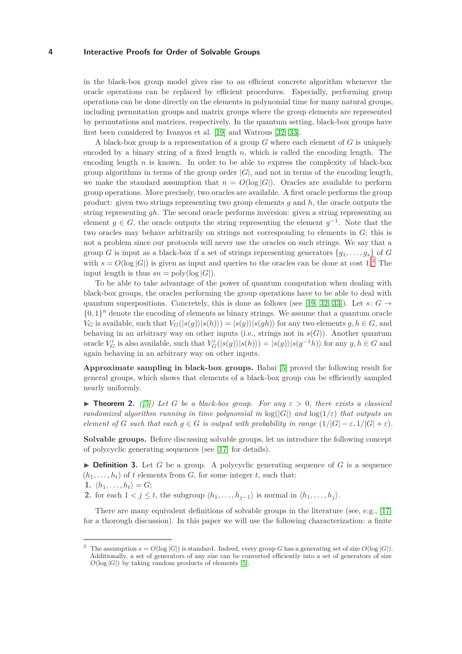in the black-box group model gives rise to an efficient concrete algorithm whenever the oracle operations can be replaced by efficient procedures. Especially, performing group operations can be done directly on the elements in polynomial time for many natural groups, including permutation groups and matrix groups where the group elements are represented by permutations and matrices, respectively. In the quantum setting, black-box groups have first been considered by Ivanyos et al. [\[19\]](#page-11-17) and Watrous [\[32,](#page-12-3) [33\]](#page-12-4).

A black-box group is a representation of a group *G* where each element of *G* is uniquely encoded by a binary string of a fixed length *n*, which is called the encoding length. The encoding length *n* is known. In order to be able to express the complexity of black-box group algorithms in terms of the group order  $|G|$ , and not in terms of the encoding length, we make the standard assumption that  $n = O(\log |G|)$ . Oracles are available to perform group operations. More precisely, two oracles are available. A first oracle performs the group product: given two strings representing two group elements *g* and *h*, the oracle outputs the string representing *gh*. The second oracle performs inversion: given a string representing an element  $g \in G$ , the oracle outputs the string representing the element  $g^{-1}$ . Note that the two oracles may behave arbitrarily on strings not corresponding to elements in *G*; this is not a problem since our protocols will never use the oracles on such strings. We say that a group *G* is input as a black-box if a set of strings representing generators  $\{g_1, \ldots, g_s\}$  of *G* with  $s = O(\log |G|)$  is given as input and queries to the oracles can be done at cost 1.<sup>[3](#page-3-0)</sup> The input length is thus  $sn = \text{poly}(\log |G|)$ .

To be able to take advantage of the power of quantum computation when dealing with black-box groups, the oracles performing the group operations have to be able to deal with quantum superpositions. Concretely, this is done as follows (see [\[19,](#page-11-17) [32,](#page-12-3) [33\]](#page-12-4)). Let  $s: G \rightarrow$  $\{0,1\}$ <sup>n</sup> denote the encoding of elements as binary strings. We assume that a quantum oracle  $V_G$  is available, such that  $V_G(|s(g)|s(h)) = |s(g)|s(gh)$  for any two elements  $g, h \in G$ , and behaving in an arbitrary way on other inputs (i.e., strings not in  $s(G)$ ). Another quantum oracle  $V'_G$  is also available, such that  $V'_G(|s(g)\rangle|s(h)\rangle) = |s(g)\rangle|s(g^{-1}h)\rangle$  for any  $g, h \in G$  and again behaving in an arbitrary way on other inputs.

**Approximate sampling in black-box groups.** Babai [\[5\]](#page-10-7) proved the following result for general groups, which shows that elements of a black-box group can be efficiently sampled nearly uniformly.

<span id="page-3-1"></span>**Theorem 2.** *(*[\[5\]](#page-10-7)) Let G be a black-box group. For any  $\varepsilon > 0$ , there exists a classical *randomized algorithm running in time polynomial in*  $log(|G|)$  *and*  $log(1/\varepsilon)$  *that outputs an element of G such that each*  $g \in G$  *is output with probability in range*  $(1/|G| - \varepsilon, 1/|G| + \varepsilon)$ *.* 

**Solvable groups.** Before discussing solvable groups, let us introduce the following concept of polycyclic generating sequences (see [\[17\]](#page-11-18) for details).

 $\triangleright$  **Definition 3.** Let *G* be a group. A polycyclic generating sequence of *G* is a sequence  $(h_1, \ldots, h_t)$  of *t* elements from *G*, for some integer *t*, such that: 1.  $\langle h_1, \ldots, h_t \rangle = G;$ 

2. for each  $1 < j \le t$ , the subgroup  $\langle h_1, \ldots, h_{j-1} \rangle$  is normal in  $\langle h_1, \ldots, h_j \rangle$ .

There are many equivalent definitions of solvable groups in the literature (see, e.g., [\[17\]](#page-11-18) for a thorough discussion). In this paper we will use the following characterization: a finite

<span id="page-3-0"></span>The assumption  $s = O(\log |G|)$  is standard. Indeed, every group *G* has a generating set of size  $O(\log |G|)$ . Additionally, a set of generators of any size can be converted efficiently into a set of generators of size  $O(\log |G|)$  by taking random products of elements [\[5\]](#page-10-7).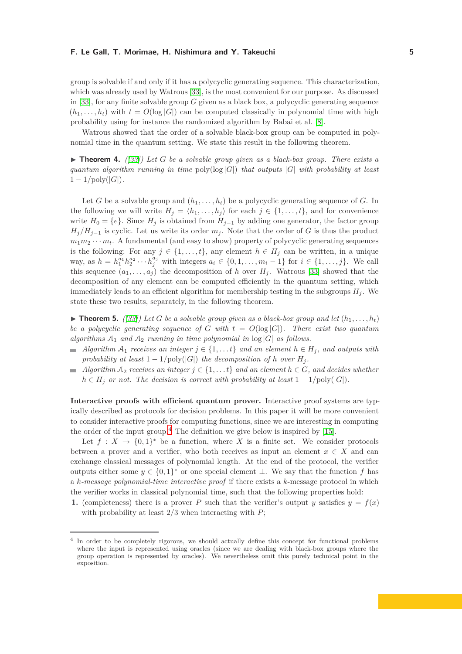group is solvable if and only if it has a polycyclic generating sequence. This characterization, which was already used by Watrous [\[33\]](#page-12-4), is the most convenient for our purpose. As discussed in [\[33\]](#page-12-4), for any finite solvable group *G* given as a black box, a polycyclic generating sequence  $(h_1, \ldots, h_t)$  with  $t = O(\log |G|)$  can be computed classically in polynomial time with high probability using for instance the randomized algorithm by Babai et al. [\[8\]](#page-10-8).

Watrous showed that the order of a solvable black-box group can be computed in polynomial time in the quantum setting. We state this result in the following theorem.

<span id="page-4-2"></span>◮ **Theorem 4.** *([\[33\]](#page-12-4)) Let G be a solvable group given as a black-box group. There exists a quantum algorithm running in time*  $poly(log |G|)$  *that outputs*  $|G|$  *with probability at least*  $1 - 1/\text{poly}(|G|)$ .

Let *G* be a solvable group and  $(h_1, \ldots, h_t)$  be a polycyclic generating sequence of *G*. In the following we will write  $H_j = \langle h_1, \ldots, h_j \rangle$  for each  $j \in \{1, \ldots, t\}$ , and for convenience write  $H_0 = \{e\}$ . Since  $H_j$  is obtained from  $H_{j-1}$  by adding one generator, the factor group  $H_j/H_{j-1}$  is cyclic. Let us write its order  $m_j$ . Note that the order of *G* is thus the product  $m_1m_2\cdots m_t$ . A fundamental (and easy to show) property of polycyclic generating sequences is the following: For any  $j \in \{1, \ldots, t\}$ , any element  $h \in H_j$  can be written, in a unique way, as *h* =  $h_1^{a_1} h_2^{a_2} \cdots h_j^{a_j}$  with integers  $a_i \in \{0, 1, \ldots, m_i - 1\}$  for *i* ∈ {1, ..., *j*}. We call this sequence  $(a_1, \ldots, a_i)$  the decomposition of *h* over  $H_i$ . Watrous [\[33\]](#page-12-4) showed that the decomposition of any element can be computed efficiently in the quantum setting, which immediately leads to an efficient algorithm for membership testing in the subgroups  $H_i$ . We state these two results, separately, in the following theorem.

<span id="page-4-1"></span> $\blacktriangleright$  **Theorem 5.** *([\[33\]](#page-12-4))* Let *G* be a solvable group given as a black-box group and let  $(h_1, \ldots, h_t)$ *be a polycyclic generating sequence of G* with  $t = O(\log |G|)$ *. There exist two quantum algorithms*  $A_1$  *and*  $A_2$  *running in time polynomial in*  $log|G|$  *as follows.* 

- $\blacksquare$  *Algorithm*  $A_1$  *receives an integer*  $j \in \{1, \ldots t\}$  *and an element*  $h \in H_j$ *, and outputs with probability at least*  $1 - 1/\text{poly}(|G|)$  *the decomposition of h over*  $H_j$ .
- $\blacktriangle$  *Algorithm*  $\mathcal{A}_2$  *receives an integer*  $j \in \{1, \ldots, t\}$  *and an element*  $h \in G$ *, and decides whether*  $h \in H_i$  *or not. The decision is correct with probability at least*  $1 - 1/\text{poly}(|G|)$ *.*

**Interactive proofs with efficient quantum prover.** Interactive proof systems are typically described as protocols for decision problems. In this paper it will be more convenient to consider interactive proofs for computing functions, since we are interesting in computing the order of the input group.<sup>[4](#page-4-0)</sup> The definition we give below is inspired by [\[15\]](#page-11-19).

Let  $f: X \to \{0,1\}^*$  be a function, where X is a finite set. We consider protocols between a prover and a verifier, who both receives as input an element  $x \in X$  and can exchange classical messages of polynomial length. At the end of the protocol, the verifier outputs either some  $y \in \{0,1\}^*$  or one special element  $\perp$ . We say that the function *f* has a *k-message polynomial-time interactive proof* if there exists a *k*-message protocol in which the verifier works in classical polynomial time, such that the following properties hold:

**1.** (completeness) there is a prover *P* such that the verifier's output *y* satisfies  $y = f(x)$ with probability at least 2*/*3 when interacting with *P*;

<span id="page-4-0"></span><sup>4</sup> In order to be completely rigorous, we should actually define this concept for functional problems where the input is represented using oracles (since we are dealing with black-box groups where the group operation is represented by oracles). We nevertheless omit this purely technical point in the exposition.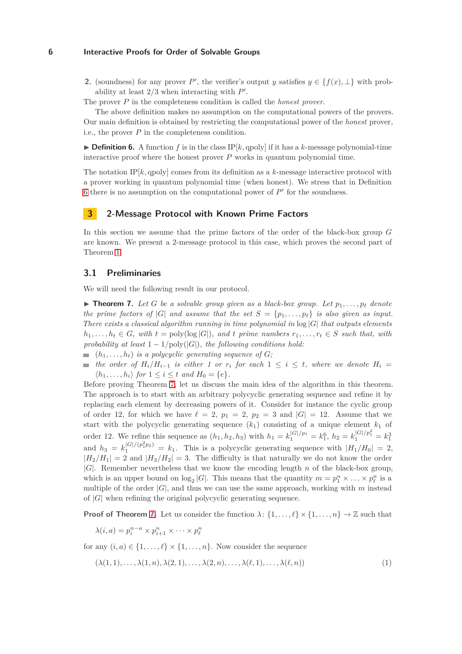**2.** (soundness) for any prover *P*<sup>'</sup>, the verifier's output *y* satisfies  $y \in \{f(x), \perp\}$  with probability at least  $2/3$  when interacting with  $P'$ .

The prover *P* in the completeness condition is called the *honest prover*.

The above definition makes no assumption on the computational powers of the provers. Our main definition is obtained by restricting the computational power of the *honest* prover, i.e., the prover *P* in the completeness condition.

<span id="page-5-0"></span> $\triangleright$  **Definition 6.** A function *f* is in the class IP[*k*, qpoly] if it has a *k*-message polynomial-time interactive proof where the honest prover  $P$  works in quantum polynomial time.

The notation IP $[k, \text{qpoly}]$  comes from its definition as a  $k$ -message interactive protocol with a prover working in quantum polynomial time (when honest). We stress that in Definition [6](#page-5-0) there is no assumption on the computational power of  $P'$  for the soundness.

# <span id="page-5-3"></span>**3 2-Message Protocol with Known Prime Factors**

In this section we assume that the prime factors of the order of the black-box group *G* are known. We present a 2-message protocol in this case, which proves the second part of Theorem [1.](#page-2-1)

## **3.1 Preliminaries**

We will need the following result in our protocol.

<span id="page-5-1"></span> $\triangleright$  **Theorem 7.** Let G be a solvable group given as a black-box group. Let  $p_1, \ldots, p_\ell$  denote *the prime factors of* |*G*| *and assume that the set*  $S = \{p_1, \ldots, p_\ell\}$  *is also given as input. There exists a classical algorithm running in time polynomial in* log |*G*| *that outputs elements*  $h_1, \ldots, h_t \in G$ *, with*  $t = \text{poly}(\log |G|)$ *, and t prime numbers*  $r_1, \ldots, r_t \in S$  *such that, with probability at least*  $1 - 1/\text{poly}(|G|)$ *, the following conditions hold:* 

- $(h_1, \ldots, h_t)$  *is a polycyclic generating sequence of G*;
- *the order of* $H_i/H_{i-1}$ *is either 1 or r<sub>i</sub>**for each* **1 ≤** *i* **≤** *t, where we denote* $H_i$  **=**  $\langle h_1, \ldots, h_i \rangle$  for  $1 \leq i \leq t$  and  $H_0 = \{e\}.$

Before proving Theorem [7,](#page-5-1) let us discuss the main idea of the algorithm in this theorem. The approach is to start with an arbitrary polycyclic generating sequence and refine it by replacing each element by decreasing powers of it. Consider for instance the cyclic group of order 12, for which we have  $\ell = 2$ ,  $p_1 = 2$ ,  $p_2 = 3$  and  $|G| = 12$ . Assume that we start with the polycyclic generating sequence  $(k_1)$  consisting of a unique element  $k_1$  of order 12. We refine this sequence as  $(h_1, h_2, h_3)$  with  $h_1 = k_1^{|G|/p_1} = k_1^6$ ,  $h_2 = k_1^{|G|/p_1^2} = k_1^3$ and  $h_3 = k_1^{|G|/(p_1^2 p_2)} = k_1$ . This is a polycyclic generating sequence with  $|H_1/H_0| = 2$ ,  $|H_2/H_1| = 2$  and  $|H_3/H_2| = 3$ . The difficulty is that naturally we do not know the order |*G*|. Remember nevertheless that we know the encoding length *n* of the black-box group, which is an upper bound on  $\log_2 |G|$ . This means that the quantity  $m = p_1^n \times \ldots \times p_\ell^n$  is a multiple of the order  $|G|$ , and thus we can use the same approach, working with *m* instead of |*G*| when refining the original polycyclic generating sequence.

**Proof of Theorem [7.](#page-5-1)** Let us consider the function  $\lambda$ :  $\{1, \ldots, \ell\} \times \{1, \ldots, n\} \to \mathbb{Z}$  such that

<span id="page-5-2"></span> $\lambda(i, a) = p_i^{n-a} \times p_{i+1}^n \times \cdots \times p_\ell^n$ 

for any  $(i, a) \in \{1, \ldots, \ell\} \times \{1, \ldots, n\}$ . Now consider the sequence

$$
(\lambda(1,1),\ldots,\lambda(1,n),\lambda(2,1),\ldots,\lambda(2,n),\ldots,\lambda(\ell,1),\ldots,\lambda(\ell,n))
$$
\n
$$
(1)
$$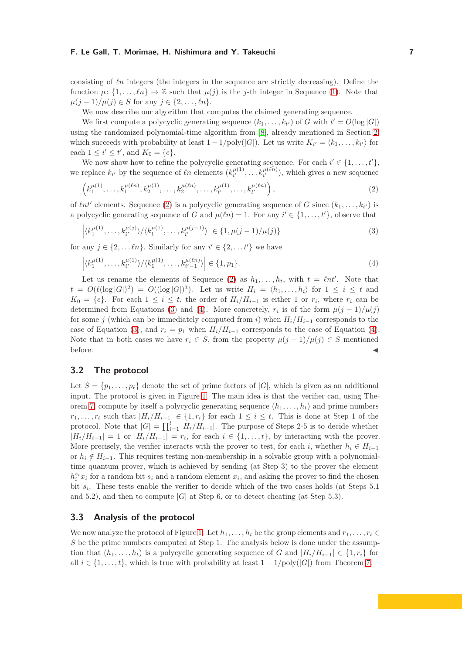consisting of *ℓn* integers (the integers in the sequence are strictly decreasing). Define the function  $\mu: \{1, \ldots, \ell n\} \to \mathbb{Z}$  such that  $\mu(j)$  is the *j*-th integer in Sequence [\(1\)](#page-5-2). Note that *µ*( $j - 1$ )/ $\mu(j) \in S$  for any  $j \in \{2, ..., \ell n\}.$ 

We now describe our algorithm that computes the claimed generating sequence.

We first compute a polycyclic generating sequence  $(k_1, \ldots, k_{t'})$  of *G* with  $t' = O(\log |G|)$ using the randomized polynomial-time algorithm from [\[8\]](#page-10-8), already mentioned in Section [2,](#page-2-0) which succeeds with probability at least  $1 - 1/poly(|G|)$ . Let us write  $K_{i'} = \langle k_1, \ldots, k_{i'} \rangle$  for each  $1 \le i' \le t'$ , and  $K_0 = \{e\}.$ 

We now show how to refine the polycyclic generating sequence. For each  $i' \in \{1, \ldots, t'\},$ we replace  $k_{i'}$  by the sequence of  $\ell n$  elements  $(k_{i'}^{\mu(1)})$  $a_i^{\mu(1)}, \ldots, a_{i'}^{\mu(\ell n)}$ , which gives a new sequence

<span id="page-6-0"></span>
$$
\left(k_1^{\mu(1)},\ldots,k_1^{\mu(\ell n)},k_2^{\mu(1)},\ldots,k_2^{\mu(\ell n)},\ldots,k_{t'}^{\mu(1)},\ldots,k_{t'}^{\mu(\ell n)}\right),\tag{2}
$$

of  $\ell nt'$  elements. Sequence [\(2\)](#page-6-0) is a polycyclic generating sequence of *G* since  $(k_1, \ldots, k_{t'})$  is a polycyclic generating sequence of *G* and  $\mu(\ell n) = 1$ . For any  $i' \in \{1, \ldots, t'\}$ , observe that

<span id="page-6-2"></span><span id="page-6-1"></span>
$$
\left| \langle k_1^{\mu(1)}, \dots, k_{i'}^{\mu(j)} \rangle / \langle k_1^{\mu(1)}, \dots, k_{i'}^{\mu(j-1)} \rangle \right| \in \{1, \mu(j-1)/\mu(j)\}
$$
\n(3)

for any  $j \in \{2, \ldots \ell n\}$ . Similarly for any  $i' \in \{2, \ldots t'\}$  we have

$$
\left| \langle k_1^{\mu(1)}, \dots, k_{i'}^{\mu(1)} \rangle / \langle k_1^{\mu(1)}, \dots, k_{i'-1}^{\mu(\ell n)} \rangle \right| \in \{1, p_1\}. \tag{4}
$$

Let us rename the elements of Sequence [\(2\)](#page-6-0) as  $h_1, \ldots, h_t$ , with  $t = \ell nt'$ . Note that  $t = O(\ell(\log |G|)^2) = O((\log |G|)^3)$ . Let us write  $H_i = \langle h_1, \ldots, h_i \rangle$  for  $1 \leq i \leq t$  and  $K_0 = \{e\}$ . For each  $1 \leq i \leq t$ , the order of  $H_i/H_{i-1}$  is either 1 or  $r_i$ , where  $r_i$  can be determined from Equations [\(3\)](#page-6-1) and [\(4\)](#page-6-2). More concretely,  $r_i$  is of the form  $\mu(j-1)/\mu(j)$ for some *j* (which can be immediately computed from *i*) when  $H_i/H_{i-1}$  corresponds to the case of Equation [\(3\)](#page-6-1), and  $r_i = p_1$  when  $H_i/H_{i-1}$  corresponds to the case of Equation [\(4\)](#page-6-2). Note that in both cases we have  $r_i \in S$ , from the property  $\mu(j-1)/\mu(j) \in S$  mentioned before.  $\blacktriangleleft$ 

## **3.2 The protocol**

Let  $S = \{p_1, \ldots, p_\ell\}$  denote the set of prime factors of  $|G|$ , which is given as an additional input. The protocol is given in Figure [1.](#page-7-0) The main idea is that the verifier can, using The-orem [7,](#page-5-1) compute by itself a polycyclic generating sequence  $(h_1, \ldots, h_t)$  and prime numbers *r*<sub>1</sub>*, . . . , r<sub>t</sub>* such that  $|H_i/H_{i-1}|$  ∈ {1*, r<sub>i</sub>*} for each 1 ≤ *i* ≤ *t*. This is done at Step 1 of the protocol. Note that  $|G| = \prod_{i=1}^{t} |H_i/H_{i-1}|$ . The purpose of Steps 2-5 is to decide whether  $|H_i/H_{i-1}| = 1$  or  $|H_i/H_{i-1}| = r_i$ , for each  $i \in \{1, ..., t\}$ , by interacting with the prover. More precisely, the verifier interacts with the prover to test, for each *i*, whether  $h_i \in H_{i-1}$ or  $h_i \notin H_{i-1}$ . This requires testing non-membership in a solvable group with a polynomialtime quantum prover, which is achieved by sending (at Step 3) to the prover the element  $h_i^{s_i}x_i$  for a random bit  $s_i$  and a random element  $x_i$ , and asking the prover to find the chosen bit  $s_i$ . These tests enable the verifier to decide which of the two cases holds (at Steps 5.1) and 5.2), and then to compute  $|G|$  at Step 6, or to detect cheating (at Step 5.3).

## **3.3 Analysis of the protocol**

We now analyze the protocol of Figure [1.](#page-7-0) Let  $h_1, \ldots, h_t$  be the group elements and  $r_1, \ldots, r_t \in$ *S* be the prime numbers computed at Step 1. The analysis below is done under the assumption that  $(h_1, \ldots, h_t)$  is a polycyclic generating sequence of *G* and  $|H_i/H_{i-1}| \in \{1, r_i\}$  for all  $i \in \{1, \ldots, t\}$ , which is true with probability at least  $1 - 1/\text{poly}(|G|)$  from Theorem [7.](#page-5-1)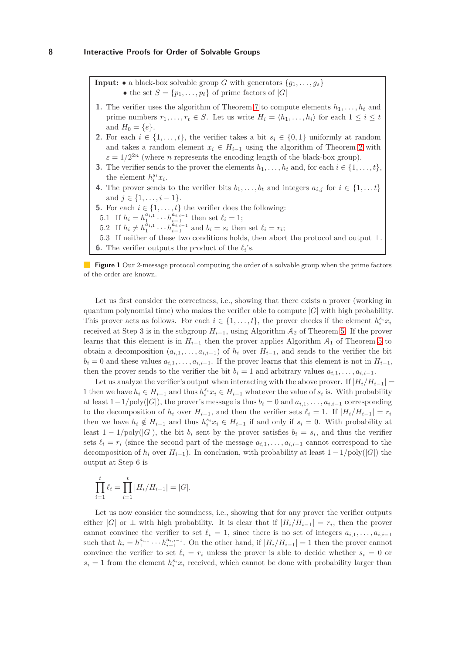<span id="page-7-0"></span>**Input:** • a black-box solvable group *G* with generators  $\{q_1, \ldots, q_s\}$ • the set  $S = \{p_1, \ldots, p_\ell\}$  of prime factors of  $|G|$ 

- **1.** The verifier uses the algorithm of Theorem [7](#page-5-1) to compute elements  $h_1, \ldots, h_t$  and prime numbers  $r_1, \ldots, r_t \in S$ . Let us write  $H_i = \langle h_1, \ldots, h_i \rangle$  for each  $1 \leq i \leq t$ and  $H_0 = \{e\}.$
- **2.** For each  $i \in \{1, \ldots, t\}$ , the verifier takes a bit  $s_i \in \{0, 1\}$  uniformly at random and takes a random element  $x_i \in H_{i-1}$  using the algorithm of Theorem [2](#page-3-1) with  $\varepsilon = 1/2^{2n}$  (where *n* represents the encoding length of the black-box group).
- **3.** The verifier sends to the prover the elements  $h_1, \ldots, h_t$  and, for each  $i \in \{1, \ldots, t\}$ , the element  $h_i^{s_i}x_i$ .
- **4.** The prover sends to the verifier bits  $b_1, \ldots, b_t$  and integers  $a_{i,j}$  for  $i \in \{1, \ldots t\}$ and  $j \in \{1, \ldots, i-1\}.$
- **5.** For each  $i \in \{1, \ldots, t\}$  the verifier does the following:
- 5.1 If  $h_i = h_1^{a_{i,1}} \cdots h_{i-1}^{a_{i,i-1}}$  then set  $\ell_i = 1$ ;
- 5.2 If  $h_i \neq h_1^{\tilde{a}_{i,1}} \cdots h_{i-1}^{\tilde{a}_{i,i-1}}$  and  $b_i = s_i$  then set  $\ell_i = r_i$ ;
- 5.3 If neither of these two conditions holds, then abort the protocol and output ⊥.
- **6.** The verifier outputs the product of the  $\ell_i$ 's.

**Figure 1** Our 2-message protocol computing the order of a solvable group when the prime factors of the order are known.

Let us first consider the correctness, i.e., showing that there exists a prover (working in quantum polynomial time) who makes the verifier able to compute |*G*| with high probability. This prover acts as follows. For each  $i \in \{1, \ldots, t\}$ , the prover checks if the element  $h_i^{s_i} x_i$ received at Step 3 is in the subgroup  $H_{i-1}$ , using Algorithm  $A_2$  of Theorem [5.](#page-4-1) If the prover learns that this element is in  $H_{i-1}$  then the prover applies Algorithm  $A_1$  of Theorem [5](#page-4-1) to obtain a decomposition  $(a_{i,1}, \ldots, a_{i,i-1})$  of  $h_i$  over  $H_{i-1}$ , and sends to the verifier the bit  $b_i = 0$  and these values  $a_{i,1}, \ldots, a_{i,i-1}$ . If the prover learns that this element is not in  $H_{i-1}$ , then the prover sends to the verifier the bit  $b_i = 1$  and arbitrary values  $a_{i,1}, \ldots, a_{i,i-1}$ .

Let us analyze the verifier's output when interacting with the above prover. If  $|H_i/H_{i-1}| =$ 1 then we have  $h_i \in H_{i-1}$  and thus  $h_i^{s_i} x_i \in H_{i-1}$  whatever the value of  $s_i$  is. With probability at least  $1-\frac{1}{\text{poly}(|G|)}$ , the prover's message is thus  $b_i = 0$  and  $a_{i,1}, \ldots, a_{i,i-1}$  corresponding to the decomposition of  $h_i$  over  $H_{i-1}$ , and then the verifier sets  $\ell_i = 1$ . If  $|H_i/H_{i-1}| = r_i$ then we have  $h_i \notin H_{i-1}$  and thus  $h_i^{s_i} x_i \in H_{i-1}$  if and only if  $s_i = 0$ . With probability at least  $1 - 1/\text{poly}(|G|)$ , the bit  $b_i$  sent by the prover satisfies  $b_i = s_i$ , and thus the verifier sets  $\ell_i = r_i$  (since the second part of the message  $a_{i,1}, \ldots, a_{i,i-1}$  cannot correspond to the decomposition of  $h_i$  over  $H_{i-1}$ ). In conclusion, with probability at least  $1 - 1/\text{poly}(|G|)$  the output at Step 6 is

$$
\prod_{i=1}^{t} \ell_i = \prod_{i=1}^{t} |H_i/H_{i-1}| = |G|.
$$

Let us now consider the soundness, i.e., showing that for any prover the verifier outputs either  $|G|$  or  $\perp$  with high probability. It is clear that if  $|H_i/H_{i-1}| = r_i$ , then the prover cannot convince the verifier to set  $\ell_i = 1$ , since there is no set of integers  $a_{i,1}, \ldots, a_{i,i-1}$ such that  $h_i = h_1^{a_{i,1}} \cdots h_{i-1}^{a_{i,i-1}}$ . On the other hand, if  $|H_i/H_{i-1}| = 1$  then the prover cannot convince the verifier to set  $\ell_i = r_i$  unless the prover is able to decide whether  $s_i = 0$  or  $s_i = 1$  from the element  $h_i^{s_i} x_i$  received, which cannot be done with probability larger than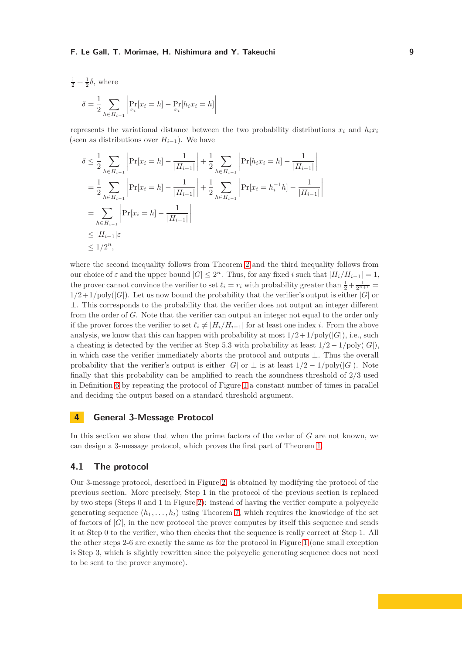$$
\frac{1}{2} + \frac{1}{2}\delta, \text{ where}
$$

$$
\delta = \frac{1}{2} \sum_{h \in H_{i-1}} \left| \Pr_{x_i}[x_i = h] - \Pr_{x_i}[h_i x_i = h] \right|
$$

represents the variational distance between the two probability distributions  $x_i$  and  $h_i x_i$ (seen as distributions over  $H_{i-1}$ ). We have

$$
\delta \leq \frac{1}{2} \sum_{h \in H_{i-1}} \left| \Pr[x_i = h] - \frac{1}{|H_{i-1}|} \right| + \frac{1}{2} \sum_{h \in H_{i-1}} \left| \Pr[h_i x_i = h] - \frac{1}{|H_{i-1}|} \right|
$$
  
\n
$$
= \frac{1}{2} \sum_{h \in H_{i-1}} \left| \Pr[x_i = h] - \frac{1}{|H_{i-1}|} \right| + \frac{1}{2} \sum_{h \in H_{i-1}} \left| \Pr[x_i = h_i^{-1} h] - \frac{1}{|H_{i-1}|} \right|
$$
  
\n
$$
= \sum_{h \in H_{i-1}} \left| \Pr[x_i = h] - \frac{1}{|H_{i-1}|} \right|
$$
  
\n
$$
\leq |H_{i-1}| \varepsilon
$$
  
\n
$$
\leq 1/2^n,
$$

where the second inequality follows from Theorem [2](#page-3-1) and the third inequality follows from our choice of  $\varepsilon$  and the upper bound  $|G| \leq 2^n$ . Thus, for any fixed *i* such that  $|H_i/H_{i-1}| = 1$ , the prover cannot convince the verifier to set  $\ell_i = r_i$  with probability greater than  $\frac{1}{2} + \frac{1}{2^{n+1}} =$  $1/2+1/\text{poly}(|G|)$ . Let us now bound the probability that the verifier's output is either  $|G|$  or  $\perp$ . This corresponds to the probability that the verifier does not output an integer different from the order of *G*. Note that the verifier can output an integer not equal to the order only if the prover forces the verifier to set  $\ell_i \neq |H_i/H_{i-1}|$  for at least one index *i*. From the above analysis, we know that this can happen with probability at most  $1/2 + 1/poly(|G|)$ , i.e., such a cheating is detected by the verifier at Step 5.3 with probability at least  $1/2 - 1/\text{poly}(|G|)$ , in which case the verifier immediately aborts the protocol and outputs ⊥. Thus the overall probability that the verifier's output is either  $|G|$  or  $\perp$  is at least  $1/2 - 1/\text{poly}(|G|)$ . Note finally that this probability can be amplified to reach the soundness threshold of 2*/*3 used in Definition [6](#page-5-0) by repeating the protocol of Figure [1](#page-7-0) a constant number of times in parallel and deciding the output based on a standard threshold argument.

## **4 General 3-Message Protocol**

In this section we show that when the prime factors of the order of *G* are not known, we can design a 3-message protocol, which proves the first part of Theorem [1.](#page-2-1)

## **4.1 The protocol**

Our 3-message protocol, described in Figure [2,](#page-9-0) is obtained by modifying the protocol of the previous section. More precisely, Step 1 in the protocol of the previous section is replaced by two steps (Steps 0 and 1 in Figure [2\)](#page-9-0): instead of having the verifier compute a polycyclic generating sequence  $(h_1, \ldots, h_t)$  using Theorem [7,](#page-5-1) which requires the knowledge of the set of factors of  $|G|$ , in the new protocol the prover computes by itself this sequence and sends it at Step 0 to the verifier, who then checks that the sequence is really correct at Step 1. All the other steps 2-6 are exactly the same as for the protocol in Figure [1](#page-7-0) (one small exception is Step 3, which is slightly rewritten since the polycyclic generating sequence does not need to be sent to the prover anymore).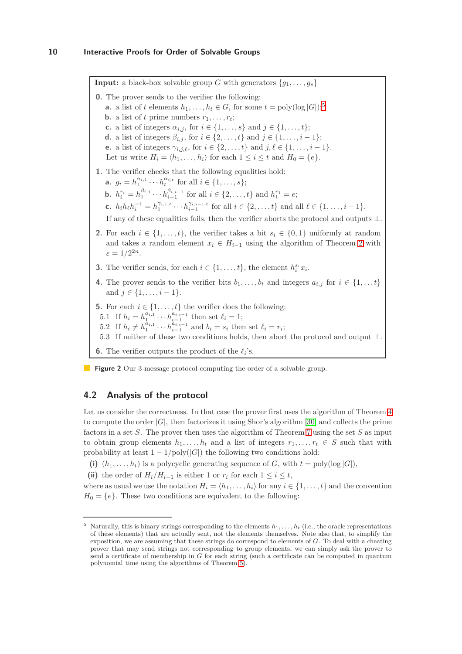<span id="page-9-0"></span>**Input:** a black-box solvable group *G* with generators  $\{g_1, \ldots, g_s\}$ **0.** The prover sends to the verifier the following: **a.** a list of *t* elements  $h_1, \ldots, h_t \in G$ , for some  $t = \text{poly}(\log |G|);$ <sup>[5](#page-9-1)</sup> **b.** a list of *t* prime numbers  $r_1, \ldots, r_t$ ; **c.** a list of integers  $\alpha_{i,j}$ , for  $i \in \{1, ..., s\}$  and  $j \in \{1, ..., t\}$ ; **d.** a list of integers  $\beta_{i,j}$ , for  $i \in \{2, ..., t\}$  and  $j \in \{1, ..., i - 1\}$ ; **e.** a list of integers  $\gamma_{i,j,\ell}$ , for  $i \in \{2, ..., t\}$  and  $j, \ell \in \{1, ..., i - 1\}$ . Let us write  $H_i = \langle h_1, \ldots, h_i \rangle$  for each  $1 \leq i \leq t$  and  $H_0 = \{e\}.$ **1.** The verifier checks that the following equalities hold: **a.**  $g_i = h_1^{\alpha_{i,1}} \cdots h_t^{\alpha_{i,t}}$  for all  $i \in \{1, \ldots, s\};$ **b.**  $h_i^{r_i} = h_1^{\beta_{i,1}} \cdots h_{i-1}^{\beta_{i,i-1}}$  for all  $i \in \{2, \ldots, t\}$  and  $h_1^{r_1} = e$ ; **c.**  $h_i h_{\ell} h_i^{-1} = h_1^{\gamma_{i,1,\ell}} \cdots h_{i-1}^{\gamma_{i,i-1,\ell}}$  for all  $i \in \{2,\ldots,t\}$  and all  $\ell \in \{1,\ldots,i-1\}$ . If any of these equalities fails, then the verifier aborts the protocol and outputs  $\bot$ **2.** For each  $i \in \{1, \ldots, t\}$ , the verifier takes a bit  $s_i \in \{0, 1\}$  uniformly at random and takes a random element  $x_i \in H_{i-1}$  using the algorithm of Theorem [2](#page-3-1) with  $\varepsilon = 1/2^{2n}$ . **3.** The verifier sends, for each  $i \in \{1, \ldots, t\}$ , the element  $h_i^{s_i} x_i$ . **4.** The prover sends to the verifier bits  $b_1, \ldots, b_t$  and integers  $a_{i,j}$  for  $i \in \{1, \ldots t\}$ and  $j \in \{1, \ldots, i-1\}.$ **5.** For each  $i \in \{1, \ldots, t\}$  the verifier does the following: 5.1 If  $h_i = h_1^{a_{i,1}} \cdots h_{i-1}^{a_{i,i-1}}$  then set  $\ell_i = 1$ ; 5.2 If  $h_i \neq h_1^{\tilde{a}_{i,1}} \cdots h_{i-1}^{\tilde{a}_{i,i-1}}$  and  $b_i = s_i$  then set  $\ell_i = r_i$ ; 5.3 If neither of these two conditions holds, then abort the protocol and output  $\bot$ . **6.** The verifier outputs the product of the  $\ell_i$ 's.

**Figure 2** Our 3-message protocol computing the order of a solvable group.

# **4.2 Analysis of the protocol**

Let us consider the correctness. In that case the prover first uses the algorithm of Theorem  $4$ to compute the order |*G*|, then factorizes it using Shor's algorithm [\[30\]](#page-12-2) and collects the prime factors in a set *S*. The prover then uses the algorithm of Theorem [7](#page-5-1) using the set *S* as input to obtain group elements  $h_1, \ldots, h_t$  and a list of integers  $r_1, \ldots, r_t \in S$  such that with probability at least  $1 - 1/\text{poly}(|G|)$  the following two conditions hold:

(i)  $(h_1, \ldots, h_t)$  is a polycyclic generating sequence of *G*, with  $t = \text{poly}(\log |G|)$ ,

(ii) the order of  $H_i/H_{i-1}$  is either 1 or  $r_i$  for each  $1 \leq i \leq t$ ,

where as usual we use the notation  $H_i = \langle h_1, \ldots, h_i \rangle$  for any  $i \in \{1, \ldots, t\}$  and the convention  $H_0 = \{e\}$ . These two conditions are equivalent to the following:

<span id="page-9-1"></span> $5$  Naturally, this is binary strings corresponding to the elements  $h_1, \ldots, h_t$  (i.e., the oracle representations of these elements) that are actually sent, not the elements themselves. Note also that, to simplify the exposition, we are assuming that these strings do correspond to elements of *G*. To deal with a cheating prover that may send strings not corresponding to group elements, we can simply ask the prover to send a certificate of membership in *G* for each string (such a certificate can be computed in quantum polynomial time using the algorithms of Theorem [5\)](#page-4-1).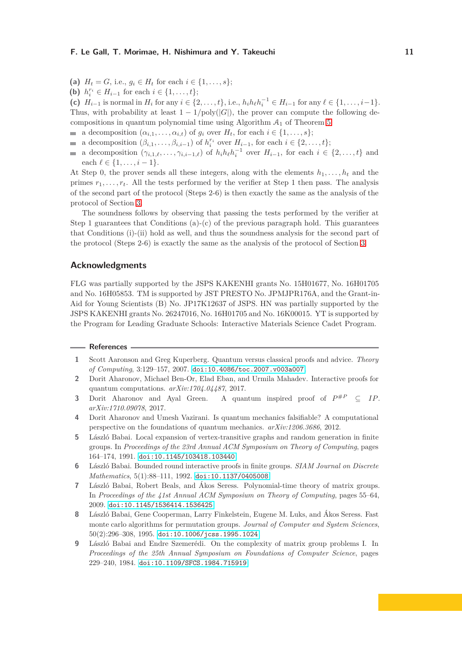- (a)  $H_t = G$ , i.e.,  $g_i \in H_t$  for each  $i \in \{1, \ldots, s\}$ ;
- (**b**)  $h_i^{r_i} \in H_{i-1}$  for each  $i \in \{1, ..., t\};$

(c)  $H_{i-1}$  is normal in  $H_i$  for any  $i \in \{2, ..., t\}$ , i.e.,  $h_i h_\ell h_i^{-1} \in H_{i-1}$  for any  $\ell \in \{1, ..., i-1\}$ . Thus, with probability at least  $1 - 1/\text{poly}(|G|)$ , the prover can compute the following decompositions in quantum polynomial time using Algorithm  $A_1$  of Theorem [5:](#page-4-1)

- a decomposition  $(\alpha_{i,1}, \ldots, \alpha_{i,t})$  of  $g_i$  over  $H_t$ , for each  $i \in \{1, \ldots, s\};$
- a decomposition  $(\beta_{i,1}, \ldots, \beta_{i,i-1})$  of  $h_i^{r_i}$  over  $H_{i-1}$ , for each  $i \in \{2, \ldots, t\};$
- a decomposition  $(\gamma_{i,1,\ell}, \ldots, \gamma_{i,i-1,\ell})$  of  $h_i h_\ell h_i^{-1}$  over  $H_{i-1}$ , for each  $i \in \{2, \ldots, t\}$  and  $\blacksquare$ each  $l \in \{1, ..., i-1\}.$

At Step 0, the prover sends all these integers, along with the elements  $h_1, \ldots, h_t$  and the primes  $r_1, \ldots, r_t$ . All the tests performed by the verifier at Step 1 then pass. The analysis of the second part of the protocol (Steps 2-6) is then exactly the same as the analysis of the protocol of Section [3.](#page-5-3)

The soundness follows by observing that passing the tests performed by the verifier at Step 1 guarantees that Conditions (a)-(c) of the previous paragraph hold. This guarantees that Conditions (i)-(ii) hold as well, and thus the soundness analysis for the second part of the protocol (Steps 2-6) is exactly the same as the analysis of the protocol of Section [3.](#page-5-3)

#### **Acknowledgments**

FLG was partially supported by the JSPS KAKENHI grants No. 15H01677, No. 16H01705 and No. 16H05853. TM is supported by JST PRESTO No. JPMJPR176A, and the Grant-in-Aid for Young Scientists (B) No. JP17K12637 of JSPS. HN was partially supported by the JSPS KAKENHI grants No. 26247016, No. 16H01705 and No. 16K00015. YT is supported by the Program for Leading Graduate Schools: Interactive Materials Science Cadet Program.

#### <span id="page-10-1"></span>**References**

- <span id="page-10-5"></span>**1** Scott Aaronson and Greg Kuperberg. Quantum versus classical proofs and advice. *Theory of Computing*, 3:129–157, 2007. [doi:10.4086/toc.2007.v003a007](http://dx.doi.org/10.4086/toc.2007.v003a007).
- <span id="page-10-6"></span>**2** Dorit Aharonov, Michael Ben-Or, Elad Eban, and Urmila Mahadev. Interactive proofs for quantum computations. *arXiv:1704.04487*, 2017.
- <span id="page-10-0"></span>**3** Dorit Aharonov and Ayal Green. A quantum inspired proof of *P* #*<sup>P</sup>* ⊆ *IP*. *arXiv:1710.09078*, 2017.
- **4** Dorit Aharonov and Umesh Vazirani. Is quantum mechanics falsifiable? A computational perspective on the foundations of quantum mechanics. *arXiv:1206.3686*, 2012.
- <span id="page-10-7"></span>**5** László Babai. Local expansion of vertex-transitive graphs and random generation in finite groups. In *Proceedings of the 23rd Annual ACM Symposium on Theory of Computing*, pages 164–174, 1991. [doi:10.1145/103418.103440](http://dx.doi.org/10.1145/103418.103440).
- <span id="page-10-2"></span>**6** László Babai. Bounded round interactive proofs in finite groups. *SIAM Journal on Discrete Mathematics*, 5(1):88–111, 1992. [doi:10.1137/0405008](http://dx.doi.org/10.1137/0405008).
- <span id="page-10-3"></span>**7** László Babai, Robert Beals, and Ákos Seress. Polynomial-time theory of matrix groups. In *Proceedings of the 41st Annual ACM Symposium on Theory of Computing*, pages 55–64, 2009. [doi:10.1145/1536414.1536425](http://dx.doi.org/10.1145/1536414.1536425).
- <span id="page-10-8"></span>**8** László Babai, Gene Cooperman, Larry Finkelstein, Eugene M. Luks, and Ákos Seress. Fast monte carlo algorithms for permutation groups. *Journal of Computer and System Sciences*, 50(2):296–308, 1995. [doi:10.1006/jcss.1995.1024](http://dx.doi.org/10.1006/jcss.1995.1024).
- <span id="page-10-4"></span>**9** László Babai and Endre Szemerédi. On the complexity of matrix group problems I. In *Proceedings of the 25th Annual Symposium on Foundations of Computer Science*, pages 229–240, 1984. [doi:10.1109/SFCS.1984.715919](http://dx.doi.org/10.1109/SFCS.1984.715919).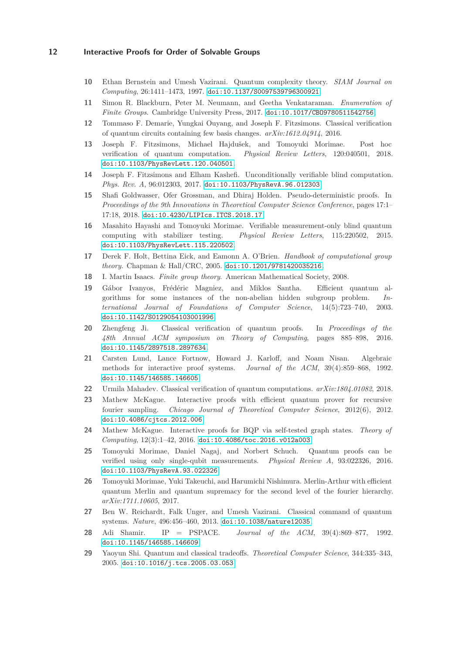- <span id="page-11-8"></span><span id="page-11-3"></span>**10** Ethan Bernstein and Umesh Vazirani. Quantum complexity theory. *SIAM Journal on Computing*, 26:1411–1473, 1997. [doi:10.1137/S0097539796300921](http://dx.doi.org/10.1137/S0097539796300921).
- <span id="page-11-6"></span>**11** Simon R. Blackburn, Peter M. Neumann, and Geetha Venkataraman. *Enumeration of Finite Groups*. Cambridge University Press, 2017. [doi:10.1017/CBO9780511542756](http://dx.doi.org/10.1017/CBO9780511542756).
- <span id="page-11-10"></span>**12** Tommaso F. Demarie, Yungkai Ouyang, and Joseph F. Fitzsimons. Classical verification of quantum circuits containing few basis changes. *arXiv:1612.04914*, 2016.
- **13** Joseph F. Fitzsimons, Michael Hajdušek, and Tomoyuki Morimae. Post hoc verification of quantum computation. *Physical Review Letters*, 120:040501, 2018. [doi:10.1103/PhysRevLett.120.040501](http://dx.doi.org/10.1103/PhysRevLett.120.040501).
- <span id="page-11-19"></span><span id="page-11-9"></span>**14** Joseph F. Fitzsimons and Elham Kashefi. Unconditionally verifiable blind computation. *Phys. Rev. A*, 96:012303, 2017. [doi:10.1103/PhysRevA.96.012303](http://dx.doi.org/10.1103/PhysRevA.96.012303).
- **15** Shafi Goldwasser, Ofer Grossman, and Dhiraj Holden. Pseudo-deterministic proofs. In *Proceedings of the 9th Innovations in Theoretical Computer Science Conference*, pages 17:1– 17:18, 2018. [doi:10.4230/LIPIcs.ITCS.2018.17](http://dx.doi.org/10.4230/LIPIcs.ITCS.2018.17).
- <span id="page-11-11"></span>**16** Masahito Hayashi and Tomoyuki Morimae. Verifiable measurement-only blind quantum computing with stabilizer testing. *Physical Review Letters*, 115:220502, 2015. [doi:10.1103/PhysRevLett.115.220502](http://dx.doi.org/10.1103/PhysRevLett.115.220502).
- <span id="page-11-18"></span><span id="page-11-16"></span>**17** Derek F. Holt, Bettina Eick, and Eamonn A. O'Brien. *Handbook of computational group theory*. Chapman & Hall/CRC, 2005. [doi:10.1201/9781420035216](http://dx.doi.org/10.1201/9781420035216).
- <span id="page-11-17"></span>**18** I. Martin Isaacs. *Finite group theory*. American Mathematical Society, 2008.
- **19** Gábor Ivanyos, Frédéric Magniez, and Miklos Santha. Efficient quantum algorithms for some instances of the non-abelian hidden subgroup problem. *International Journal of Foundations of Computer Science*, 14(5):723–740, 2003. [doi:10.1142/S0129054103001996](http://dx.doi.org/10.1142/S0129054103001996).
- <span id="page-11-0"></span>**20** Zhengfeng Ji. Classical verification of quantum proofs. In *Proceedings of the 48th Annual ACM symposium on Theory of Computing*, pages 885–898, 2016. [doi:10.1145/2897518.2897634](http://dx.doi.org/10.1145/2897518.2897634).
- <span id="page-11-13"></span>**21** Carsten Lund, Lance Fortnow, Howard J. Karloff, and Noam Nisan. Algebraic methods for interactive proof systems. *Journal of the ACM*, 39(4):859–868, 1992. [doi:10.1145/146585.146605](http://dx.doi.org/10.1145/146585.146605).
- <span id="page-11-15"></span><span id="page-11-4"></span>**22** Urmila Mahadev. Classical verification of quantum computations. *arXiv:1804.01082*, 2018.
- **23** Mathew McKague. Interactive proofs with efficient quantum prover for recursive fourier sampling. *Chicago Journal of Theoretical Computer Science*, 2012(6), 2012. [doi:10.4086/cjtcs.2012.006](http://dx.doi.org/10.4086/cjtcs.2012.006).
- <span id="page-11-1"></span>**24** Mathew McKague. Interactive proofs for BQP via self-tested graph states. *Theory of Computing*, 12(3):1–42, 2016. [doi:10.4086/toc.2016.v012a003](http://dx.doi.org/10.4086/toc.2016.v012a003).
- <span id="page-11-12"></span>**25** Tomoyuki Morimae, Daniel Nagaj, and Norbert Schuch. Quantum proofs can be verified using only single-qubit measurements. *Physical Review A*, 93:022326, 2016. [doi:10.1103/PhysRevA.93.022326](http://dx.doi.org/10.1103/PhysRevA.93.022326).
- <span id="page-11-7"></span>**26** Tomoyuki Morimae, Yuki Takeuchi, and Harumichi Nishimura. Merlin-Arthur with efficient quantum Merlin and quantum supremacy for the second level of the fourier hierarchy. *arXiv:1711.10605*, 2017.
- <span id="page-11-2"></span>**27** Ben W. Reichardt, Falk Unger, and Umesh Vazirani. Classical command of quantum systems. *Nature*, 496:456–460, 2013. [doi:10.1038/nature12035](http://dx.doi.org/10.1038/nature12035).
- <span id="page-11-14"></span>**28** Adi Shamir. IP = PSPACE. *Journal of the ACM*, 39(4):869–877, 1992. [doi:10.1145/146585.146609](http://dx.doi.org/10.1145/146585.146609).
- <span id="page-11-5"></span>**29** Yaoyun Shi. Quantum and classical tradeoffs. *Theoretical Computer Science*, 344:335–343, 2005. [doi:10.1016/j.tcs.2005.03.053](http://dx.doi.org/10.1016/j.tcs.2005.03.053).